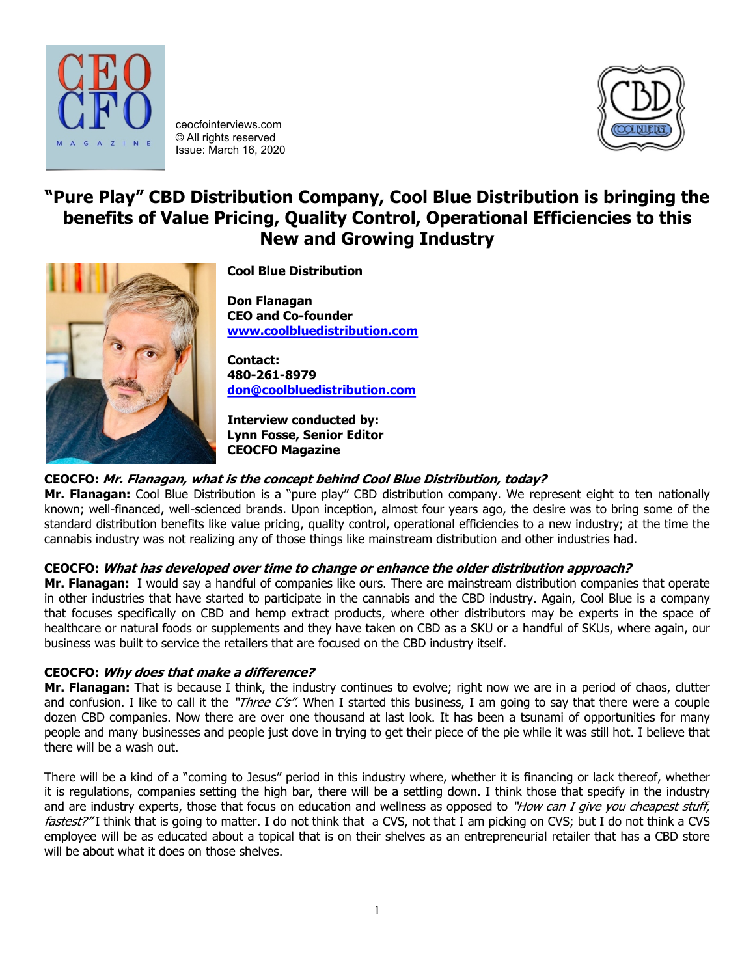

ceocfointerviews.com © All rights reserved Issue: March 16, 2020



# **"Pure Play" CBD Distribution Company, Cool Blue Distribution is bringing the benefits of Value Pricing, Quality Control, Operational Efficiencies to this New and Growing Industry**



**Cool Blue Distribution**

**Don Flanagan CEO and Co-founder [www.coolbluedistribution.com](http://www.coolbluedistribution.com/)**

**Contact: 480-261-8979 [don@coolbluedistribution.com](mailto:don@coolbluedistribution.com)**

**Interview conducted by: Lynn Fosse, Senior Editor CEOCFO Magazine**

# **CEOCFO: Mr. Flanagan, what is the concept behind Cool Blue Distribution, today?**

**Mr. Flanagan:** Cool Blue Distribution is a "pure play" CBD distribution company. We represent eight to ten nationally known; well-financed, well-scienced brands. Upon inception, almost four years ago, the desire was to bring some of the standard distribution benefits like value pricing, quality control, operational efficiencies to a new industry; at the time the cannabis industry was not realizing any of those things like mainstream distribution and other industries had.

# **CEOCFO: What has developed over time to change or enhance the older distribution approach?**

**Mr. Flanagan:** I would say a handful of companies like ours. There are mainstream distribution companies that operate in other industries that have started to participate in the cannabis and the CBD industry. Again, Cool Blue is a company that focuses specifically on CBD and hemp extract products, where other distributors may be experts in the space of healthcare or natural foods or supplements and they have taken on CBD as a SKU or a handful of SKUs, where again, our business was built to service the retailers that are focused on the CBD industry itself.

# **CEOCFO: Why does that make a difference?**

**Mr. Flanagan:** That is because I think, the industry continues to evolve; right now we are in a period of chaos, clutter and confusion. I like to call it the "*Three C's"*. When I started this business, I am going to say that there were a couple dozen CBD companies. Now there are over one thousand at last look. It has been a tsunami of opportunities for many people and many businesses and people just dove in trying to get their piece of the pie while it was still hot. I believe that there will be a wash out.

There will be a kind of a "coming to Jesus" period in this industry where, whether it is financing or lack thereof, whether it is regulations, companies setting the high bar, there will be a settling down. I think those that specify in the industry and are industry experts, those that focus on education and wellness as opposed to "How can I give you cheapest stuff, fastest?"I think that is going to matter. I do not think that a CVS, not that I am picking on CVS; but I do not think a CVS employee will be as educated about a topical that is on their shelves as an entrepreneurial retailer that has a CBD store will be about what it does on those shelves.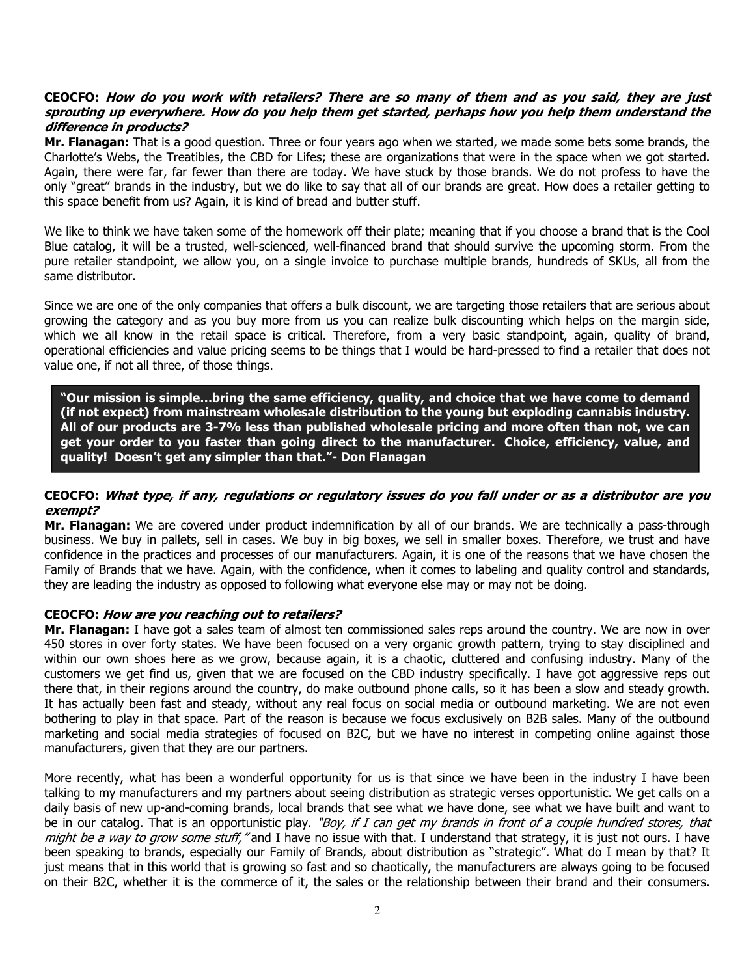## **CEOCFO: How do you work with retailers? There are so many of them and as you said, they are just sprouting up everywhere. How do you help them get started, perhaps how you help them understand the difference in products?**

**Mr. Flanagan:** That is a good question. Three or four years ago when we started, we made some bets some brands, the Charlotte's Webs, the Treatibles, the CBD for Lifes; these are organizations that were in the space when we got started. Again, there were far, far fewer than there are today. We have stuck by those brands. We do not profess to have the only "great" brands in the industry, but we do like to say that all of our brands are great. How does a retailer getting to this space benefit from us? Again, it is kind of bread and butter stuff.

We like to think we have taken some of the homework off their plate; meaning that if you choose a brand that is the Cool Blue catalog, it will be a trusted, well-scienced, well-financed brand that should survive the upcoming storm. From the pure retailer standpoint, we allow you, on a single invoice to purchase multiple brands, hundreds of SKUs, all from the same distributor.

Since we are one of the only companies that offers a bulk discount, we are targeting those retailers that are serious about growing the category and as you buy more from us you can realize bulk discounting which helps on the margin side, which we all know in the retail space is critical. Therefore, from a very basic standpoint, again, quality of brand, operational efficiencies and value pricing seems to be things that I would be hard-pressed to find a retailer that does not value one, if not all three, of those things.

**"Our mission is simple…bring the same efficiency, quality, and choice that we have come to demand (if not expect) from mainstream wholesale distribution to the young but exploding cannabis industry. All of our products are 3-7% less than published wholesale pricing and more often than not, we can get your order to you faster than going direct to the manufacturer. Choice, efficiency, value, and quality! Doesn't get any simpler than that."- Don Flanagan**

## **CEOCFO: What type, if any, regulations or regulatory issues do you fall under or as a distributor are you exempt?**

**Mr. Flanagan:** We are covered under product indemnification by all of our brands. We are technically a pass-through business. We buy in pallets, sell in cases. We buy in big boxes, we sell in smaller boxes. Therefore, we trust and have confidence in the practices and processes of our manufacturers. Again, it is one of the reasons that we have chosen the Family of Brands that we have. Again, with the confidence, when it comes to labeling and quality control and standards, they are leading the industry as opposed to following what everyone else may or may not be doing.

#### **CEOCFO: How are you reaching out to retailers?**

**Mr. Flanagan:** I have got a sales team of almost ten commissioned sales reps around the country. We are now in over 450 stores in over forty states. We have been focused on a very organic growth pattern, trying to stay disciplined and within our own shoes here as we grow, because again, it is a chaotic, cluttered and confusing industry. Many of the customers we get find us, given that we are focused on the CBD industry specifically. I have got aggressive reps out there that, in their regions around the country, do make outbound phone calls, so it has been a slow and steady growth. It has actually been fast and steady, without any real focus on social media or outbound marketing. We are not even bothering to play in that space. Part of the reason is because we focus exclusively on B2B sales. Many of the outbound marketing and social media strategies of focused on B2C, but we have no interest in competing online against those manufacturers, given that they are our partners.

More recently, what has been a wonderful opportunity for us is that since we have been in the industry I have been talking to my manufacturers and my partners about seeing distribution as strategic verses opportunistic. We get calls on a daily basis of new up-and-coming brands, local brands that see what we have done, see what we have built and want to be in our catalog. That is an opportunistic play. "Boy, if I can get my brands in front of a couple hundred stores, that might be a way to grow some stuff," and I have no issue with that. I understand that strategy, it is just not ours. I have been speaking to brands, especially our Family of Brands, about distribution as "strategic". What do I mean by that? It just means that in this world that is growing so fast and so chaotically, the manufacturers are always going to be focused on their B2C, whether it is the commerce of it, the sales or the relationship between their brand and their consumers.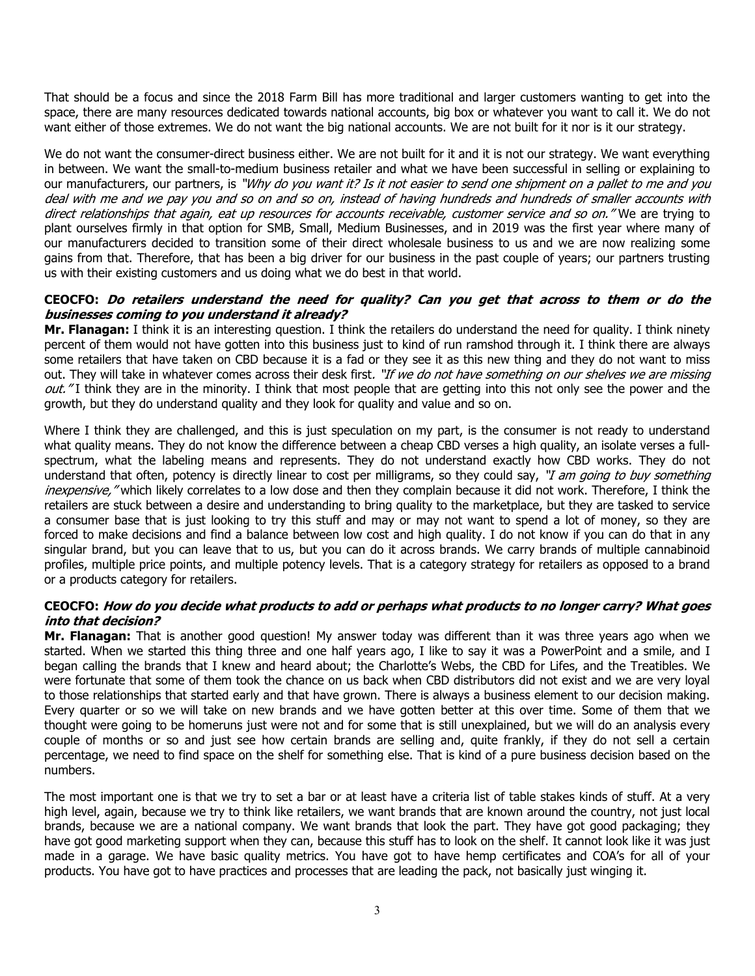That should be a focus and since the 2018 Farm Bill has more traditional and larger customers wanting to get into the space, there are many resources dedicated towards national accounts, big box or whatever you want to call it. We do not want either of those extremes. We do not want the big national accounts. We are not built for it nor is it our strategy.

We do not want the consumer-direct business either. We are not built for it and it is not our strategy. We want everything in between. We want the small-to-medium business retailer and what we have been successful in selling or explaining to our manufacturers, our partners, is "Why do you want it? Is it not easier to send one shipment on a pallet to me and you deal with me and we pay you and so on and so on, instead of having hundreds and hundreds of smaller accounts with direct relationships that again, eat up resources for accounts receivable, customer service and so on." We are trying to plant ourselves firmly in that option for SMB, Small, Medium Businesses, and in 2019 was the first year where many of our manufacturers decided to transition some of their direct wholesale business to us and we are now realizing some gains from that. Therefore, that has been a big driver for our business in the past couple of years; our partners trusting us with their existing customers and us doing what we do best in that world.

## **CEOCFO: Do retailers understand the need for quality? Can you get that across to them or do the businesses coming to you understand it already?**

**Mr. Flanagan:** I think it is an interesting question. I think the retailers do understand the need for quality. I think ninety percent of them would not have gotten into this business just to kind of run ramshod through it. I think there are always some retailers that have taken on CBD because it is a fad or they see it as this new thing and they do not want to miss out. They will take in whatever comes across their desk first. "If we do not have something on our shelves we are missing out." I think they are in the minority. I think that most people that are getting into this not only see the power and the growth, but they do understand quality and they look for quality and value and so on.

Where I think they are challenged, and this is just speculation on my part, is the consumer is not ready to understand what quality means. They do not know the difference between a cheap CBD verses a high quality, an isolate verses a fullspectrum, what the labeling means and represents. They do not understand exactly how CBD works. They do not understand that often, potency is directly linear to cost per milligrams, so they could say, "I am going to buy something inexpensive, "which likely correlates to a low dose and then they complain because it did not work. Therefore, I think the retailers are stuck between a desire and understanding to bring quality to the marketplace, but they are tasked to service a consumer base that is just looking to try this stuff and may or may not want to spend a lot of money, so they are forced to make decisions and find a balance between low cost and high quality. I do not know if you can do that in any singular brand, but you can leave that to us, but you can do it across brands. We carry brands of multiple cannabinoid profiles, multiple price points, and multiple potency levels. That is a category strategy for retailers as opposed to a brand or a products category for retailers.

## **CEOCFO: How do you decide what products to add or perhaps what products to no longer carry? What goes into that decision?**

**Mr. Flanagan:** That is another good question! My answer today was different than it was three years ago when we started. When we started this thing three and one half years ago, I like to say it was a PowerPoint and a smile, and I began calling the brands that I knew and heard about; the Charlotte's Webs, the CBD for Lifes, and the Treatibles. We were fortunate that some of them took the chance on us back when CBD distributors did not exist and we are very loyal to those relationships that started early and that have grown. There is always a business element to our decision making. Every quarter or so we will take on new brands and we have gotten better at this over time. Some of them that we thought were going to be homeruns just were not and for some that is still unexplained, but we will do an analysis every couple of months or so and just see how certain brands are selling and, quite frankly, if they do not sell a certain percentage, we need to find space on the shelf for something else. That is kind of a pure business decision based on the numbers.

The most important one is that we try to set a bar or at least have a criteria list of table stakes kinds of stuff. At a very high level, again, because we try to think like retailers, we want brands that are known around the country, not just local brands, because we are a national company. We want brands that look the part. They have got good packaging; they have got good marketing support when they can, because this stuff has to look on the shelf. It cannot look like it was just made in a garage. We have basic quality metrics. You have got to have hemp certificates and COA's for all of your products. You have got to have practices and processes that are leading the pack, not basically just winging it.